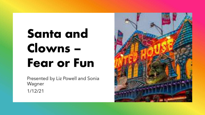# Santa and Clowns – Fear or Fun

Presented by Liz Powell and Sonia Wagner 1/12/21

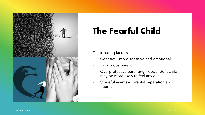

## The Fearful Child

### Contributing factors:

- Genetics more sensitive and emotional
- An anxious parent
- Overprotective parenting dependent child may be more likely to feel anxious
- Stressful events parental separation and trauma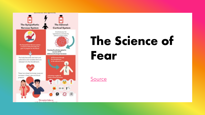

# The Science of Fear

**[Source](https://lifesupportscounselling.com.au/blog/understanding-overcoming-fear/)**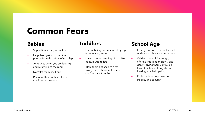## Common Fears

### **Babies**

- Separation anxiety 6months +
- + Help them get to know other people from the safety of your lap
- + Announce when you are leaving and returning to the room
- + Don't let them cry it out
- + Reassure them with a calm and confident expression

## **Toddlers**

- + Fear of being overwhelmed by big emotions eg anger
- + Limited understanding of size like gaps, plugs, toilets
- + Help them get used to a fear slowly, and talk about the fear, don't confront the fear

## **School Age**

- + Fears grow from fears of the dark or death to ghosts and monsters
- + Validate and talk it through, offering information slowly and gently, giving them control eg look at pictures of dogs before looking at a tied up dog
- + Daily routines help provide stability and security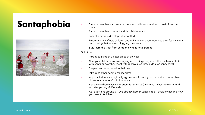

- Santaphobia Strange man that watches your behaviour all year round and breaks into your house
	- Strange man that parents hand the child over to
	- Fear of strangers develops at 6months+
	- Predominantly affects children under 5 who can't communicate their fears clearly by covering their eyes or plugging their ears
	- 50% learn the truth from someone who is not a parent

### **Solutions**

- Introduce Santa at quieter times of the year
- Give your child control over saying no to things they don't like, such as a photo with Santa or how they meet with relatives (eg kiss, cuddle or handshake)
- Respect and acknowledge their fear
- Introduce other coping mechanisms
- Approach things thoughtfully eg presents in cubby house or shed, rather than allowing a "stranger" into the house
- Ask the children what is important for them at Christmas what they want might surprise you eg McDonalds
- Ask questions around 9-10yo about whether Santa is real decide what and how you want to tell them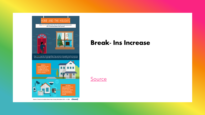

Source: Choosi & Coredata Home Fears Survey November 2018 - n= 1000 Choosi:

## Break- Ins Increase

**[Source](https://www.choosi.com.au/blog/lifestyle/home-fears-report)**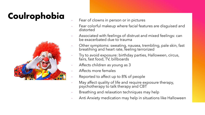## Coulrophobia Fear of clowns in person or in pictures



- 
- Fear colorful makeup where facial features are disguised and distorted
- Associated with feelings of distrust and mixed feelings: can be exacerbated due to trauma
- Other symptoms: sweating, nausea, trembling, pale skin, fast breatihing and heart rate, feeling terrorized
- Try to avoid exposure: birthday parties, Halloween, circus, fairs, fast food, TV, billboards
- Affects children as young as 3
- Affects more females
- Reported to affect up to 8% of people
- May affect quality of life and require exposure therapy, psychotherapy to talk therapy and CBT
- Breathing and relaxation techniques may help
- Anti Anxiety medication may help in situations like Halloween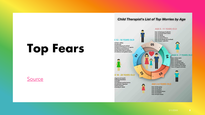# Top Fears

### **[Source](https://www.anxioustoddlers.com/worries-by-age/#.YYu1OWBByUk)**



**Child Therapist's List of Top Worries by Age**